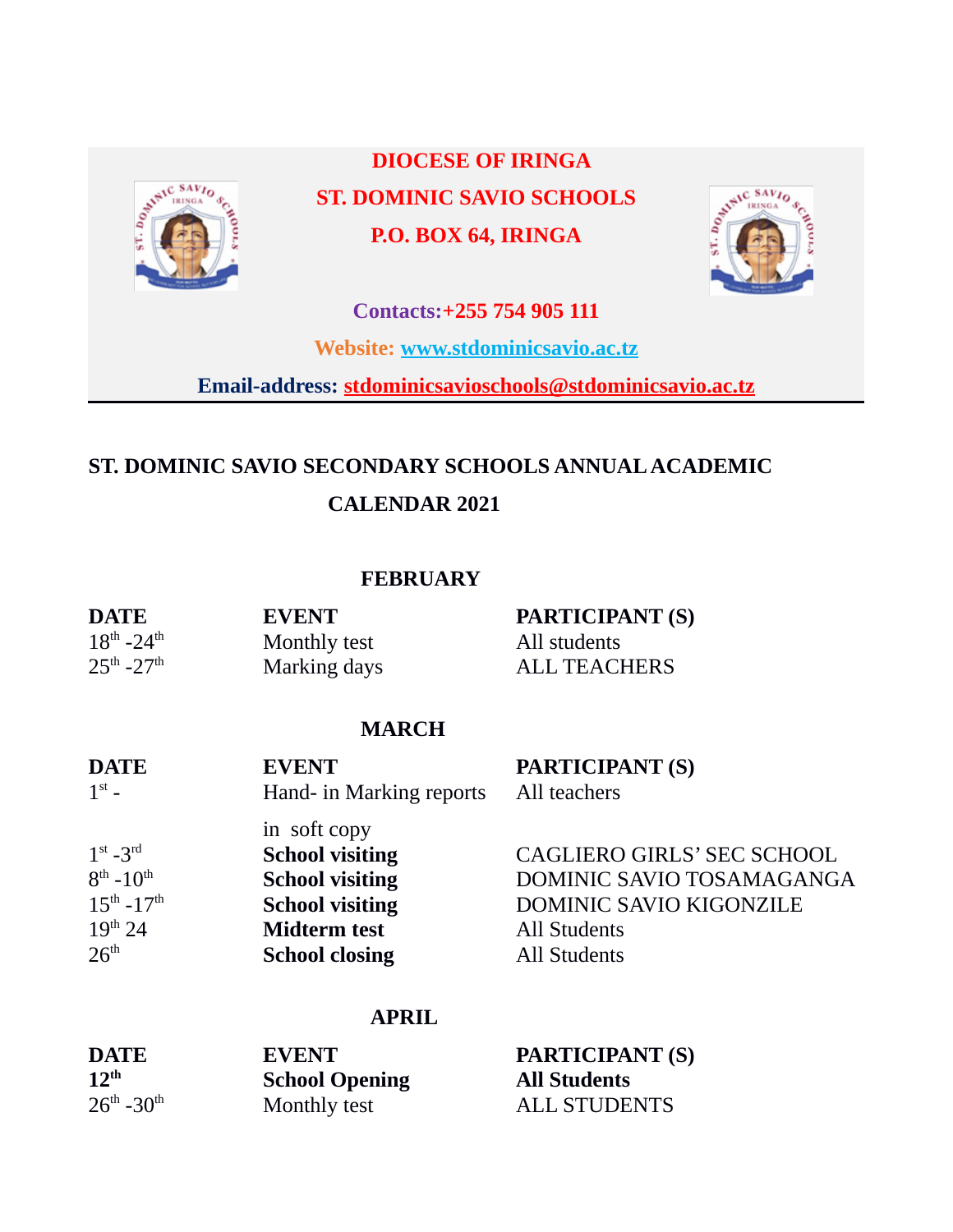

 **DIOCESE OF IRINGA ST. DOMINIC SAVIO SCHOOLS P.O. BOX 64, IRINGA**



**Contacts:+255 754 905 111**

**Website: [www.stdominicsavio.ac.tz](http://www.stdominicsavio.ac.tz/)**

**Email-address: stdominicsavioschools@stdominicsavio.ac.tz**

# **ST. DOMINIC SAVIO SECONDARY SCHOOLS ANNUAL ACADEMIC**

# **CALENDAR 2021**

#### **FEBRUARY**

| <b>DATE</b>                     | <b>EVENT</b> | PARTICIPANT (S)     |
|---------------------------------|--------------|---------------------|
| $18^{th}$ -24 <sup>th</sup>     | Monthly test | All students        |
| $25^{\rm th}$ -27 <sup>th</sup> | Marking days | <b>ALL TEACHERS</b> |

### **MARCH**

| <b>DATE</b>                                                                                  | <b>EVENT</b>                                                                                                                               | <b>PARTICIPANT (S)</b>                                                                                                                  |
|----------------------------------------------------------------------------------------------|--------------------------------------------------------------------------------------------------------------------------------------------|-----------------------------------------------------------------------------------------------------------------------------------------|
| $1^{\text{st}}$ –                                                                            | Hand- in Marking reports                                                                                                                   | All teachers                                                                                                                            |
| $1st - 3rd$<br>$8^{th} - 10^{th}$<br>$15^{th} - 17^{th}$<br>$19^{th}$ 24<br>26 <sup>th</sup> | in soft copy<br><b>School visiting</b><br><b>School visiting</b><br><b>School visiting</b><br><b>Midterm test</b><br><b>School closing</b> | CAGLIERO GIRLS' SEC SCHOOL<br>DOMINIC SAVIO TOSAMAGANGA<br><b>DOMINIC SAVIO KIGONZILE</b><br><b>All Students</b><br><b>All Students</b> |

#### **APRIL**

| <b>DATE</b>                        | <b>EVENT</b>          | <b>PARTICIPANT (S)</b> |
|------------------------------------|-----------------------|------------------------|
| 12 <sup>th</sup>                   | <b>School Opening</b> | <b>All Students</b>    |
| $26^{\text{th}}$ -30 <sup>th</sup> | Monthly test          | <b>ALL STUDENTS</b>    |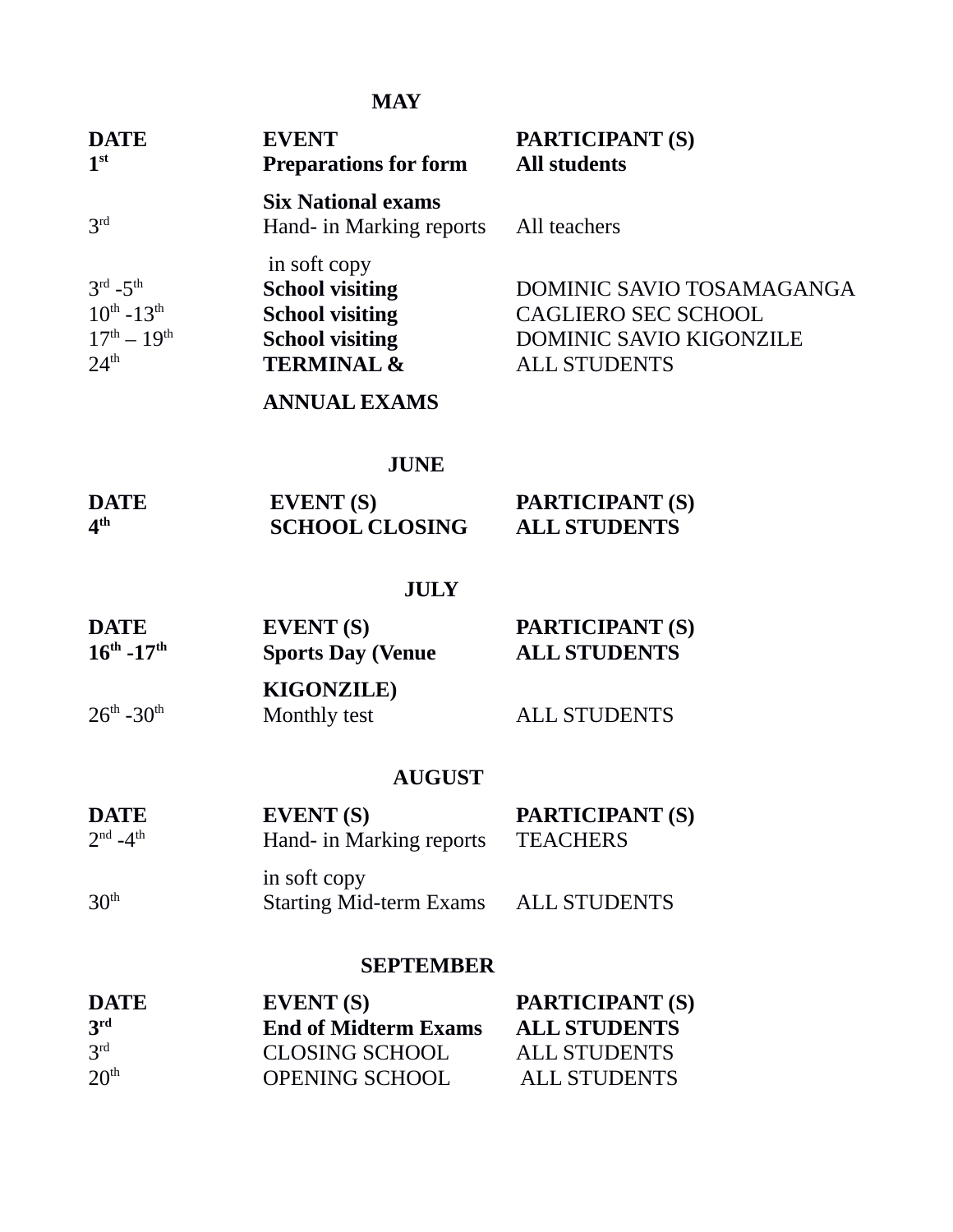# **MAY**

| <b>EVENT</b><br><b>Preparations for form</b>          | <b>PARTICIPANT (S)</b><br><b>All students</b>    |
|-------------------------------------------------------|--------------------------------------------------|
| <b>Six National exams</b><br>Hand- in Marking reports | All teachers                                     |
| in soft copy<br><b>School visiting</b>                | DOMINIC SAVIO TOSAMAGANGA                        |
|                                                       | CAGLIERO SEC SCHOOL<br>DOMINIC SAVIO KIGONZILE   |
| <b>TERMINAL &amp;</b>                                 | <b>ALL STUDENTS</b>                              |
| <b>ANNUAL EXAMS</b>                                   |                                                  |
|                                                       | <b>School visiting</b><br><b>School visiting</b> |

# **JUNE**

| <b>DATE</b>     | <b>EVENT</b> (S)      | <b>PARTICIPANT (S)</b> |
|-----------------|-----------------------|------------------------|
| 4 <sup>th</sup> | <b>SCHOOL CLOSING</b> | <b>ALL STUDENTS</b>    |

# **JULY**

| <b>DATE</b><br>$16^{th}$ -17 <sup>th</sup> | <b>EVENT</b> (S)<br><b>Sports Day (Venue</b> | <b>PARTICIPANT (S)</b><br><b>ALL STUDENTS</b> |
|--------------------------------------------|----------------------------------------------|-----------------------------------------------|
| $26^{\text{th}}$ -30 <sup>th</sup>         | <b>KIGONZILE</b> )<br>Monthly test           | <b>ALL STUDENTS</b>                           |
|                                            | <b>AUGUST</b>                                |                                               |

| <b>DATE</b>       | EVENT <sub>(S)</sub>                                                                  | <b>PARTICIPANT (S)</b> |
|-------------------|---------------------------------------------------------------------------------------|------------------------|
| $2^{nd} - 4^{th}$ | Hand- in Marking reports                                                              | TEACHERS               |
|                   | $\mathbf{1}_{\mathbf{2}}$ and $\mathbf{1}_{\mathbf{2}}$ and $\mathbf{1}_{\mathbf{2}}$ |                        |

|                  | in soft copy                   |                     |
|------------------|--------------------------------|---------------------|
| 30 <sup>th</sup> | <b>Starting Mid-term Exams</b> | <b>ALL STUDENTS</b> |

#### **SEPTEMBER**

| <b>DATE</b>      | EVENT <sub>(S)</sub>        | <b>PARTICIPANT (S)</b> |
|------------------|-----------------------------|------------------------|
| 3 <sup>rd</sup>  | <b>End of Midterm Exams</b> | <b>ALL STUDENTS</b>    |
| 3 <sup>rd</sup>  | <b>CLOSING SCHOOL</b>       | <b>ALL STUDENTS</b>    |
| 20 <sup>th</sup> | <b>OPENING SCHOOL</b>       | <b>ALL STUDENTS</b>    |